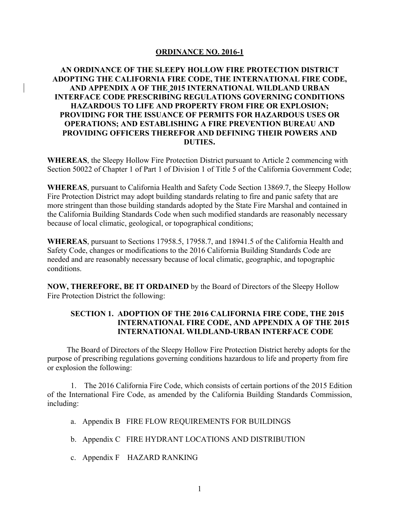#### **ORDINANCE NO. 2016-1**

# **AN ORDINANCE OF THE SLEEPY HOLLOW FIRE PROTECTION DISTRICT ADOPTING THE CALIFORNIA FIRE CODE, THE INTERNATIONAL FIRE CODE, AND APPENDIX A OF THE 2015 INTERNATIONAL WILDLAND URBAN INTERFACE CODE PRESCRIBING REGULATIONS GOVERNING CONDITIONS HAZARDOUS TO LIFE AND PROPERTY FROM FIRE OR EXPLOSION; PROVIDING FOR THE ISSUANCE OF PERMITS FOR HAZARDOUS USES OR OPERATIONS; AND ESTABLISHING A FIRE PREVENTION BUREAU AND PROVIDING OFFICERS THEREFOR AND DEFINING THEIR POWERS AND DUTIES.**

**WHEREAS**, the Sleepy Hollow Fire Protection District pursuant to Article 2 commencing with Section 50022 of Chapter 1 of Part 1 of Division 1 of Title 5 of the California Government Code;

**WHEREAS**, pursuant to California Health and Safety Code Section 13869.7, the Sleepy Hollow Fire Protection District may adopt building standards relating to fire and panic safety that are more stringent than those building standards adopted by the State Fire Marshal and contained in the California Building Standards Code when such modified standards are reasonably necessary because of local climatic, geological, or topographical conditions;

**WHEREAS**, pursuant to Sections 17958.5, 17958.7, and 18941.5 of the California Health and Safety Code, changes or modifications to the 2016 California Building Standards Code are needed and are reasonably necessary because of local climatic, geographic, and topographic conditions.

**NOW, THEREFORE, BE IT ORDAINED** by the Board of Directors of the Sleepy Hollow Fire Protection District the following:

# **SECTION 1. ADOPTION OF THE 2016 CALIFORNIA FIRE CODE, THE 2015 INTERNATIONAL FIRE CODE, AND APPENDIX A OF THE 2015 INTERNATIONAL WILDLAND-URBAN INTERFACE CODE**

 The Board of Directors of the Sleepy Hollow Fire Protection District hereby adopts for the purpose of prescribing regulations governing conditions hazardous to life and property from fire or explosion the following:

 1. The 2016 California Fire Code, which consists of certain portions of the 2015 Edition of the International Fire Code, as amended by the California Building Standards Commission, including:

- a. Appendix B FIRE FLOW REQUIREMENTS FOR BUILDINGS
- b. Appendix C FIRE HYDRANT LOCATIONS AND DISTRIBUTION
- c. Appendix F HAZARD RANKING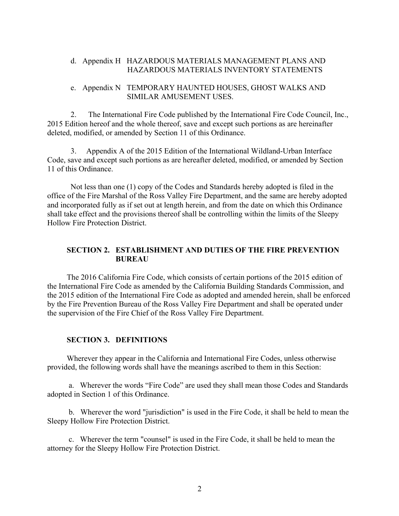## d. Appendix H HAZARDOUS MATERIALS MANAGEMENT PLANS AND HAZARDOUS MATERIALS INVENTORY STATEMENTS

#### e. Appendix N TEMPORARY HAUNTED HOUSES, GHOST WALKS AND SIMILAR AMUSEMENT USES.

2. The International Fire Code published by the International Fire Code Council, Inc., 2015 Edition hereof and the whole thereof, save and except such portions as are hereinafter deleted, modified, or amended by Section 11 of this Ordinance.

 3. Appendix A of the 2015 Edition of the International Wildland-Urban Interface Code, save and except such portions as are hereafter deleted, modified, or amended by Section 11 of this Ordinance.

 Not less than one (1) copy of the Codes and Standards hereby adopted is filed in the office of the Fire Marshal of the Ross Valley Fire Department, and the same are hereby adopted and incorporated fully as if set out at length herein, and from the date on which this Ordinance shall take effect and the provisions thereof shall be controlling within the limits of the Sleepy Hollow Fire Protection District.

## **SECTION 2. ESTABLISHMENT AND DUTIES OF THE FIRE PREVENTION BUREAU**

 The 2016 California Fire Code, which consists of certain portions of the 2015 edition of the International Fire Code as amended by the California Building Standards Commission, and the 2015 edition of the International Fire Code as adopted and amended herein, shall be enforced by the Fire Prevention Bureau of the Ross Valley Fire Department and shall be operated under the supervision of the Fire Chief of the Ross Valley Fire Department.

#### **SECTION 3. DEFINITIONS**

 Wherever they appear in the California and International Fire Codes, unless otherwise provided, the following words shall have the meanings ascribed to them in this Section:

 a. Wherever the words "Fire Code" are used they shall mean those Codes and Standards adopted in Section 1 of this Ordinance.

 b. Wherever the word "jurisdiction" is used in the Fire Code, it shall be held to mean the Sleepy Hollow Fire Protection District.

 c. Wherever the term "counsel" is used in the Fire Code, it shall be held to mean the attorney for the Sleepy Hollow Fire Protection District.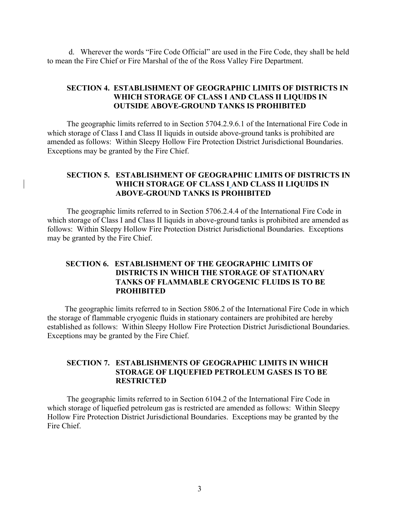d. Wherever the words "Fire Code Official" are used in the Fire Code, they shall be held to mean the Fire Chief or Fire Marshal of the of the Ross Valley Fire Department.

# **SECTION 4. ESTABLISHMENT OF GEOGRAPHIC LIMITS OF DISTRICTS IN WHICH STORAGE OF CLASS I AND CLASS II LIQUIDS IN OUTSIDE ABOVE-GROUND TANKS IS PROHIBITED**

The geographic limits referred to in Section 5704.2.9.6.1 of the International Fire Code in which storage of Class I and Class II liquids in outside above-ground tanks is prohibited are amended as follows: Within Sleepy Hollow Fire Protection District Jurisdictional Boundaries. Exceptions may be granted by the Fire Chief.

# **SECTION 5. ESTABLISHMENT OF GEOGRAPHIC LIMITS OF DISTRICTS IN WHICH STORAGE OF CLASS I AND CLASS II LIQUIDS IN ABOVE-GROUND TANKS IS PROHIBITED**

The geographic limits referred to in Section 5706.2.4.4 of the International Fire Code in which storage of Class I and Class II liquids in above-ground tanks is prohibited are amended as follows: Within Sleepy Hollow Fire Protection District Jurisdictional Boundaries. Exceptions may be granted by the Fire Chief.

# **SECTION 6. ESTABLISHMENT OF THE GEOGRAPHIC LIMITS OF DISTRICTS IN WHICH THE STORAGE OF STATIONARY TANKS OF FLAMMABLE CRYOGENIC FLUIDS IS TO BE PROHIBITED**

 The geographic limits referred to in Section 5806.2 of the International Fire Code in which the storage of flammable cryogenic fluids in stationary containers are prohibited are hereby established as follows: Within Sleepy Hollow Fire Protection District Jurisdictional Boundaries. Exceptions may be granted by the Fire Chief.

# **SECTION 7. ESTABLISHMENTS OF GEOGRAPHIC LIMITS IN WHICH STORAGE OF LIQUEFIED PETROLEUM GASES IS TO BE RESTRICTED**

The geographic limits referred to in Section 6104.2 of the International Fire Code in which storage of liquefied petroleum gas is restricted are amended as follows: Within Sleepy Hollow Fire Protection District Jurisdictional Boundaries. Exceptions may be granted by the Fire Chief.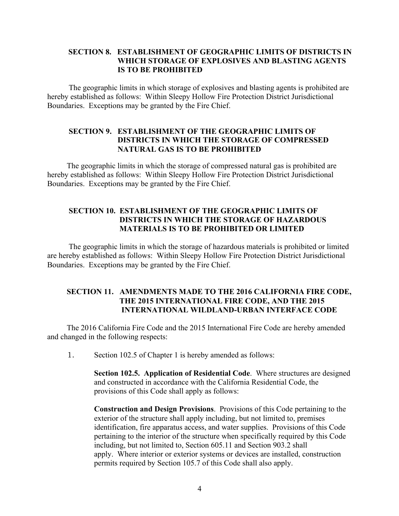# **SECTION 8. ESTABLISHMENT OF GEOGRAPHIC LIMITS OF DISTRICTS IN WHICH STORAGE OF EXPLOSIVES AND BLASTING AGENTS IS TO BE PROHIBITED**

 The geographic limits in which storage of explosives and blasting agents is prohibited are hereby established as follows: Within Sleepy Hollow Fire Protection District Jurisdictional Boundaries. Exceptions may be granted by the Fire Chief.

#### **SECTION 9. ESTABLISHMENT OF THE GEOGRAPHIC LIMITS OF DISTRICTS IN WHICH THE STORAGE OF COMPRESSED NATURAL GAS IS TO BE PROHIBITED**

 The geographic limits in which the storage of compressed natural gas is prohibited are hereby established as follows: Within Sleepy Hollow Fire Protection District Jurisdictional Boundaries. Exceptions may be granted by the Fire Chief.

## **SECTION 10. ESTABLISHMENT OF THE GEOGRAPHIC LIMITS OF DISTRICTS IN WHICH THE STORAGE OF HAZARDOUS MATERIALS IS TO BE PROHIBITED OR LIMITED**

The geographic limits in which the storage of hazardous materials is prohibited or limited are hereby established as follows: Within Sleepy Hollow Fire Protection District Jurisdictional Boundaries. Exceptions may be granted by the Fire Chief.

## **SECTION 11. AMENDMENTS MADE TO THE 2016 CALIFORNIA FIRE CODE, THE 2015 INTERNATIONAL FIRE CODE, AND THE 2015 INTERNATIONAL WILDLAND-URBAN INTERFACE CODE**

 The 2016 California Fire Code and the 2015 International Fire Code are hereby amended and changed in the following respects:

1. Section 102.5 of Chapter 1 is hereby amended as follows:

**Section 102.5. Application of Residential Code**. Where structures are designed and constructed in accordance with the California Residential Code, the provisions of this Code shall apply as follows:

**Construction and Design Provisions**. Provisions of this Code pertaining to the exterior of the structure shall apply including, but not limited to, premises identification, fire apparatus access, and water supplies. Provisions of this Code pertaining to the interior of the structure when specifically required by this Code including, but not limited to, Section 605.11 and Section 903.2 shall apply. Where interior or exterior systems or devices are installed, construction permits required by Section 105.7 of this Code shall also apply.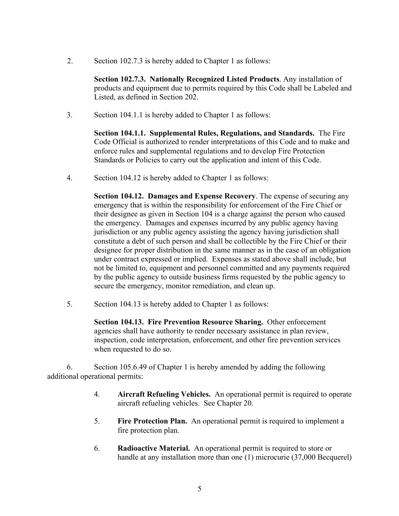2. Section 102.7.3 is hereby added to Chapter 1 as follows:

**Section 102.7.3. Nationally Recognized Listed Products**. Any installation of products and equipment due to permits required by this Code shall be Labeled and Listed, as defined in Section 202.

3. Section 104.1.1 is hereby added to Chapter 1 as follows:

**Section 104.1.1. Supplemental Rules, Regulations, and Standards.** The Fire Code Official is authorized to render interpretations of this Code and to make and enforce rules and supplemental regulations and to develop Fire Protection Standards or Policies to carry out the application and intent of this Code.

4. Section 104.12 is hereby added to Chapter 1 as follows:

**Section 104.12. Damages and Expense Recovery**. The expense of securing any emergency that is within the responsibility for enforcement of the Fire Chief or their designee as given in Section 104 is a charge against the person who caused the emergency. Damages and expenses incurred by any public agency having jurisdiction or any public agency assisting the agency having jurisdiction shall constitute a debt of such person and shall be collectible by the Fire Chief or their designee for proper distribution in the same manner as in the case of an obligation under contract expressed or implied. Expenses as stated above shall include, but not be limited to, equipment and personnel committed and any payments required by the public agency to outside business firms requested by the public agency to secure the emergency, monitor remediation, and clean up.

5. Section 104.13 is hereby added to Chapter 1 as follows:

**Section 104.13. Fire Prevention Resource Sharing.** Other enforcement agencies shall have authority to render necessary assistance in plan review, inspection, code interpretation, enforcement, and other fire prevention services when requested to do so.

 6. Section 105.6.49 of Chapter 1 is hereby amended by adding the following additional operational permits:

- 4. **Aircraft Refueling Vehicles.** An operational permit is required to operate aircraft refueling vehicles. See Chapter 20.
- 5. **Fire Protection Plan.** An operational permit is required to implement a fire protection plan.
- 6. **Radioactive Material.** An operational permit is required to store or handle at any installation more than one (1) microcurie (37,000 Becquerel)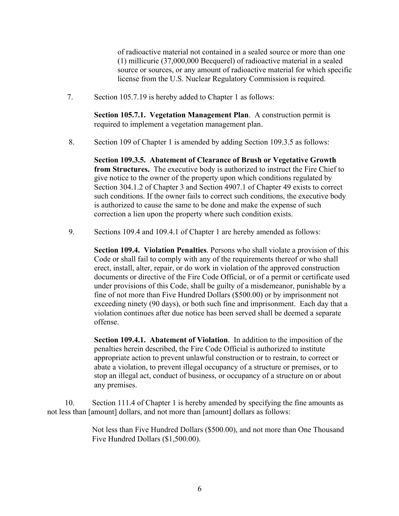of radioactive material not contained in a sealed source or more than one (1) millicurie (37,000,000 Becquerel) of radioactive material in a sealed source or sources, or any amount of radioactive material for which specific license from the U.S. Nuclear Regulatory Commission is required.

7. Section 105.7.19 is hereby added to Chapter 1 as follows:

**Section 105.7.1. Vegetation Management Plan**. A construction permit is required to implement a vegetation management plan.

8. Section 109 of Chapter 1 is amended by adding Section 109.3.5 as follows:

**Section 109.3.5. Abatement of Clearance of Brush or Vegetative Growth from Structures.** The executive body is authorized to instruct the Fire Chief to give notice to the owner of the property upon which conditions regulated by Section 304.1.2 of Chapter 3 and Section 4907.1 of Chapter 49 exists to correct such conditions. If the owner fails to correct such conditions, the executive body is authorized to cause the same to be done and make the expense of such correction a lien upon the property where such condition exists.

9. Sections 109.4 and 109.4.1 of Chapter 1 are hereby amended as follows:

**Section 109.4. Violation Penalties**. Persons who shall violate a provision of this Code or shall fail to comply with any of the requirements thereof or who shall erect, install, alter, repair, or do work in violation of the approved construction documents or directive of the Fire Code Official, or of a permit or certificate used under provisions of this Code, shall be guilty of a misdemeanor, punishable by a fine of not more than Five Hundred Dollars (\$500.00) or by imprisonment not exceeding ninety (90 days), or both such fine and imprisonment. Each day that a violation continues after due notice has been served shall be deemed a separate offense.

**Section 109.4.1. Abatement of Violation**. In addition to the imposition of the penalties herein described, the Fire Code Official is authorized to institute appropriate action to prevent unlawful construction or to restrain, to correct or abate a violation, to prevent illegal occupancy of a structure or premises, or to stop an illegal act, conduct of business, or occupancy of a structure on or about any premises.

 10. Section 111.4 of Chapter 1 is hereby amended by specifying the fine amounts as not less than [amount] dollars, and not more than [amount] dollars as follows:

> Not less than Five Hundred Dollars (\$500.00), and not more than One Thousand Five Hundred Dollars (\$1,500.00).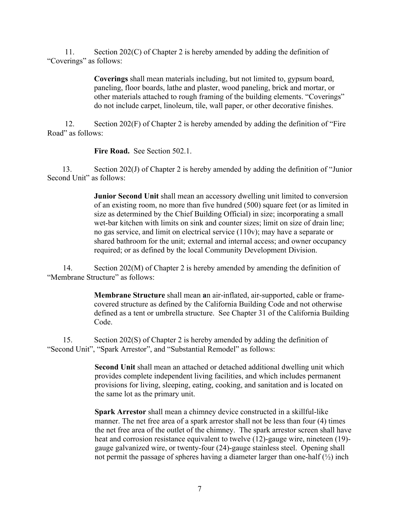11. Section 202(C) of Chapter 2 is hereby amended by adding the definition of "Coverings" as follows:

> **Coverings** shall mean materials including, but not limited to, gypsum board, paneling, floor boards, lathe and plaster, wood paneling, brick and mortar, or other materials attached to rough framing of the building elements. "Coverings" do not include carpet, linoleum, tile, wall paper, or other decorative finishes.

 12. Section 202(F) of Chapter 2 is hereby amended by adding the definition of "Fire Road" as follows:

**Fire Road.** See Section 502.1.

 13. Section 202(J) of Chapter 2 is hereby amended by adding the definition of "Junior Second Unit" as follows:

> **Junior Second Unit** shall mean an accessory dwelling unit limited to conversion of an existing room, no more than five hundred (500) square feet (or as limited in size as determined by the Chief Building Official) in size; incorporating a small wet-bar kitchen with limits on sink and counter sizes; limit on size of drain line; no gas service, and limit on electrical service (110v); may have a separate or shared bathroom for the unit; external and internal access; and owner occupancy required; or as defined by the local Community Development Division.

14. Section 202(M) of Chapter 2 is hereby amended by amending the definition of "Membrane Structure" as follows:

> **Membrane Structure** shall mean **a**n air-inflated, air-supported, cable or framecovered structure as defined by the California Building Code and not otherwise defined as a tent or umbrella structure. See Chapter 31 of the California Building Code.

 15. Section 202(S) of Chapter 2 is hereby amended by adding the definition of "Second Unit", "Spark Arrestor", and "Substantial Remodel" as follows:

> **Second Unit** shall mean an attached or detached additional dwelling unit which provides complete independent living facilities, and which includes permanent provisions for living, sleeping, eating, cooking, and sanitation and is located on the same lot as the primary unit.

**Spark Arrestor** shall mean a chimney device constructed in a skillful-like manner. The net free area of a spark arrestor shall not be less than four (4) times the net free area of the outlet of the chimney. The spark arrestor screen shall have heat and corrosion resistance equivalent to twelve (12)-gauge wire, nineteen (19) gauge galvanized wire, or twenty-four (24)-gauge stainless steel. Opening shall not permit the passage of spheres having a diameter larger than one-half  $(\frac{1}{2})$  inch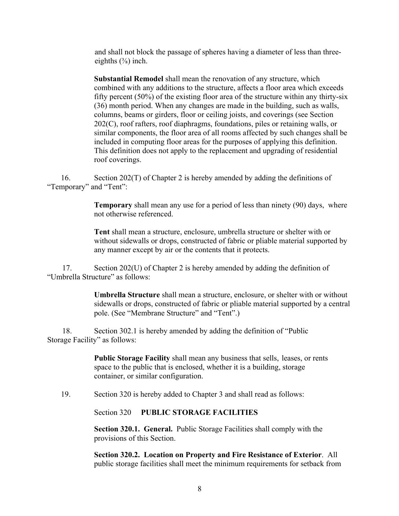and shall not block the passage of spheres having a diameter of less than threeeighths  $(\frac{3}{8})$  inch.

**Substantial Remodel** shall mean the renovation of any structure, which combined with any additions to the structure, affects a floor area which exceeds fifty percent (50%) of the existing floor area of the structure within any thirty-six (36) month period. When any changes are made in the building, such as walls, columns, beams or girders, floor or ceiling joists, and coverings (see Section 202(C), roof rafters, roof diaphragms, foundations, piles or retaining walls, or similar components, the floor area of all rooms affected by such changes shall be included in computing floor areas for the purposes of applying this definition. This definition does not apply to the replacement and upgrading of residential roof coverings.

 16. Section 202(T) of Chapter 2 is hereby amended by adding the definitions of "Temporary" and "Tent":

> **Temporary** shall mean any use for a period of less than ninety (90) days, where not otherwise referenced.

> **Tent** shall mean a structure, enclosure, umbrella structure or shelter with or without sidewalls or drops, constructed of fabric or pliable material supported by any manner except by air or the contents that it protects.

 17. Section 202(U) of Chapter 2 is hereby amended by adding the definition of "Umbrella Structure" as follows:

> **Umbrella Structure** shall mean a structure, enclosure, or shelter with or without sidewalls or drops, constructed of fabric or pliable material supported by a central pole. (See "Membrane Structure" and "Tent".)

 18. Section 302.1 is hereby amended by adding the definition of "Public Storage Facility" as follows:

> **Public Storage Facility** shall mean any business that sells, leases, or rents space to the public that is enclosed, whether it is a building, storage container, or similar configuration.

19. Section 320 is hereby added to Chapter 3 and shall read as follows:

Section 320 **PUBLIC STORAGE FACILITIES**

 **Section 320.1. General.** Public Storage Facilities shall comply with the provisions of this Section.

**Section 320.2. Location on Property and Fire Resistance of Exterior**. All public storage facilities shall meet the minimum requirements for setback from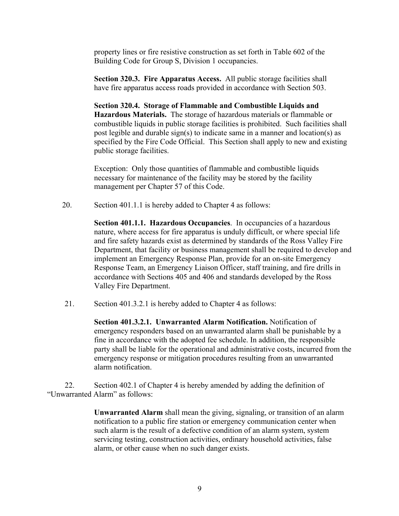property lines or fire resistive construction as set forth in Table 602 of the Building Code for Group S, Division 1 occupancies.

**Section 320.3. Fire Apparatus Access.** All public storage facilities shall have fire apparatus access roads provided in accordance with Section 503.

 **Section 320.4. Storage of Flammable and Combustible Liquids and Hazardous Materials.** The storage of hazardous materials or flammable or combustible liquids in public storage facilities is prohibited. Such facilities shall post legible and durable sign(s) to indicate same in a manner and location(s) as specified by the Fire Code Official. This Section shall apply to new and existing public storage facilities.

 Exception: Only those quantities of flammable and combustible liquids necessary for maintenance of the facility may be stored by the facility management per Chapter 57 of this Code.

20. Section 401.1.1 is hereby added to Chapter 4 as follows:

 **Section 401.1.1. Hazardous Occupancies**. In occupancies of a hazardous nature, where access for fire apparatus is unduly difficult, or where special life and fire safety hazards exist as determined by standards of the Ross Valley Fire Department, that facility or business management shall be required to develop and implement an Emergency Response Plan, provide for an on-site Emergency Response Team, an Emergency Liaison Officer, staff training, and fire drills in accordance with Sections 405 and 406 and standards developed by the Ross Valley Fire Department.

21. Section 401.3.2.1 is hereby added to Chapter 4 as follows:

**Section 401.3.2.1. Unwarranted Alarm Notification.** Notification of emergency responders based on an unwarranted alarm shall be punishable by a fine in accordance with the adopted fee schedule. In addition, the responsible party shall be liable for the operational and administrative costs, incurred from the emergency response or mitigation procedures resulting from an unwarranted alarm notification.

 22. Section 402.1 of Chapter 4 is hereby amended by adding the definition of "Unwarranted Alarm" as follows:

> **Unwarranted Alarm** shall mean the giving, signaling, or transition of an alarm notification to a public fire station or emergency communication center when such alarm is the result of a defective condition of an alarm system, system servicing testing, construction activities, ordinary household activities, false alarm, or other cause when no such danger exists.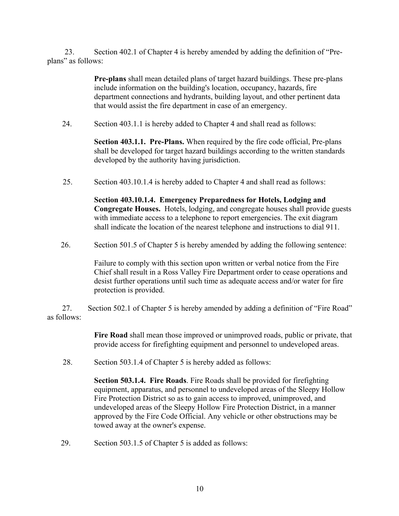23. Section 402.1 of Chapter 4 is hereby amended by adding the definition of "Preplans" as follows:

> **Pre-plans** shall mean detailed plans of target hazard buildings. These pre-plans include information on the building's location, occupancy, hazards, fire department connections and hydrants, building layout, and other pertinent data that would assist the fire department in case of an emergency.

24. Section 403.1.1 is hereby added to Chapter 4 and shall read as follows:

**Section 403.1.1. Pre-Plans.** When required by the fire code official, Pre-plans shall be developed for target hazard buildings according to the written standards developed by the authority having jurisdiction.

25. Section 403.10.1.4 is hereby added to Chapter 4 and shall read as follows:

**Section 403.10.1.4. Emergency Preparedness for Hotels, Lodging and Congregate Houses.** Hotels, lodging, and congregate houses shall provide guests with immediate access to a telephone to report emergencies. The exit diagram shall indicate the location of the nearest telephone and instructions to dial 911.

26. Section 501.5 of Chapter 5 is hereby amended by adding the following sentence:

Failure to comply with this section upon written or verbal notice from the Fire Chief shall result in a Ross Valley Fire Department order to cease operations and desist further operations until such time as adequate access and/or water for fire protection is provided.

 27. Section 502.1 of Chapter 5 is hereby amended by adding a definition of "Fire Road" as follows:

> **Fire Road** shall mean those improved or unimproved roads, public or private, that provide access for firefighting equipment and personnel to undeveloped areas.

28. Section 503.1.4 of Chapter 5 is hereby added as follows:

**Section 503.1.4. Fire Roads**. Fire Roads shall be provided for firefighting equipment, apparatus, and personnel to undeveloped areas of the Sleepy Hollow Fire Protection District so as to gain access to improved, unimproved, and undeveloped areas of the Sleepy Hollow Fire Protection District, in a manner approved by the Fire Code Official. Any vehicle or other obstructions may be towed away at the owner's expense.

29. Section 503.1.5 of Chapter 5 is added as follows: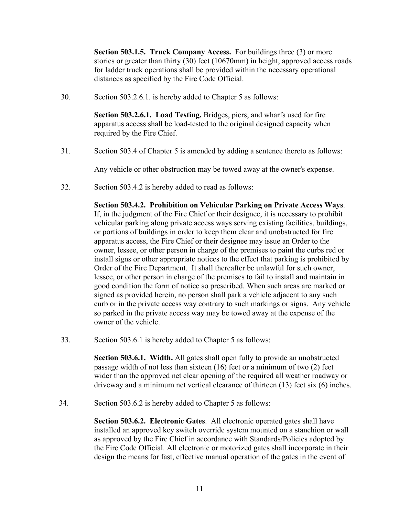**Section 503.1.5. Truck Company Access.** For buildings three (3) or more stories or greater than thirty (30) feet (10670mm) in height, approved access roads for ladder truck operations shall be provided within the necessary operational distances as specified by the Fire Code Official.

30. Section 503.2.6.1. is hereby added to Chapter 5 as follows:

**Section 503.2.6.1. Load Testing.** Bridges, piers, and wharfs used for fire apparatus access shall be load-tested to the original designed capacity when required by the Fire Chief.

31. Section 503.4 of Chapter 5 is amended by adding a sentence thereto as follows:

Any vehicle or other obstruction may be towed away at the owner's expense.

32. Section 503.4.2 is hereby added to read as follows:

**Section 503.4.2. Prohibition on Vehicular Parking on Private Access Ways**. If, in the judgment of the Fire Chief or their designee, it is necessary to prohibit vehicular parking along private access ways serving existing facilities, buildings, or portions of buildings in order to keep them clear and unobstructed for fire apparatus access, the Fire Chief or their designee may issue an Order to the owner, lessee, or other person in charge of the premises to paint the curbs red or install signs or other appropriate notices to the effect that parking is prohibited by Order of the Fire Department. It shall thereafter be unlawful for such owner, lessee, or other person in charge of the premises to fail to install and maintain in good condition the form of notice so prescribed. When such areas are marked or signed as provided herein, no person shall park a vehicle adjacent to any such curb or in the private access way contrary to such markings or signs. Any vehicle so parked in the private access way may be towed away at the expense of the owner of the vehicle.

33. Section 503.6.1 is hereby added to Chapter 5 as follows:

**Section 503.6.1. Width.** All gates shall open fully to provide an unobstructed passage width of not less than sixteen (16) feet or a minimum of two (2) feet wider than the approved net clear opening of the required all weather roadway or driveway and a minimum net vertical clearance of thirteen (13) feet six (6) inches.

34. Section 503.6.2 is hereby added to Chapter 5 as follows:

**Section 503.6.2. Electronic Gates**. All electronic operated gates shall have installed an approved key switch override system mounted on a stanchion or wall as approved by the Fire Chief in accordance with Standards/Policies adopted by the Fire Code Official. All electronic or motorized gates shall incorporate in their design the means for fast, effective manual operation of the gates in the event of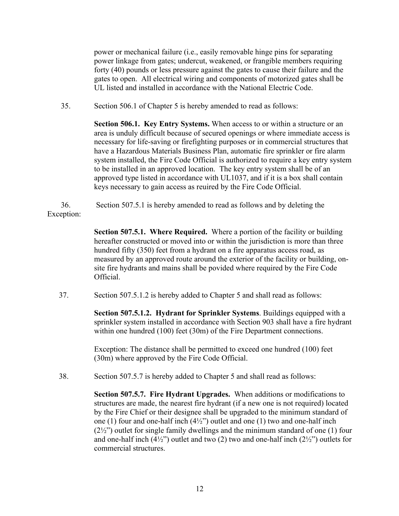power or mechanical failure (i.e., easily removable hinge pins for separating power linkage from gates; undercut, weakened, or frangible members requiring forty (40) pounds or less pressure against the gates to cause their failure and the gates to open. All electrical wiring and components of motorized gates shall be UL listed and installed in accordance with the National Electric Code.

35. Section 506.1 of Chapter 5 is hereby amended to read as follows:

**Section 506.1. Key Entry Systems.** When access to or within a structure or an area is unduly difficult because of secured openings or where immediate access is necessary for life-saving or firefighting purposes or in commercial structures that have a Hazardous Materials Business Plan, automatic fire sprinkler or fire alarm system installed, the Fire Code Official is authorized to require a key entry system to be installed in an approved location. The key entry system shall be of an approved type listed in accordance with UL1037, and if it is a box shall contain keys necessary to gain access as reuired by the Fire Code Official.

 36. Section 507.5.1 is hereby amended to read as follows and by deleting the Exception:

> **Section 507.5.1. Where Required.** Where a portion of the facility or building hereafter constructed or moved into or within the jurisdiction is more than three hundred fifty (350) feet from a hydrant on a fire apparatus access road, as measured by an approved route around the exterior of the facility or building, onsite fire hydrants and mains shall be povided where required by the Fire Code Official.

37. Section 507.5.1.2 is hereby added to Chapter 5 and shall read as follows:

**Section 507.5.1.2. Hydrant for Sprinkler Systems**. Buildings equipped with a sprinkler system installed in accordance with Section 903 shall have a fire hydrant within one hundred (100) feet (30m) of the Fire Department connections.

Exception: The distance shall be permitted to exceed one hundred (100) feet (30m) where approved by the Fire Code Official.

38. Section 507.5.7 is hereby added to Chapter 5 and shall read as follows:

**Section 507.5.7. Fire Hydrant Upgrades.** When additions or modifications to structures are made, the nearest fire hydrant (if a new one is not required) located by the Fire Chief or their designee shall be upgraded to the minimum standard of one (1) four and one-half inch  $(4\frac{1}{2})$  outlet and one (1) two and one-half inch (2½") outlet for single family dwellings and the minimum standard of one (1) four and one-half inch  $(4\frac{1}{2})$  outlet and two (2) two and one-half inch  $(2\frac{1}{2})$  outlets for commercial structures.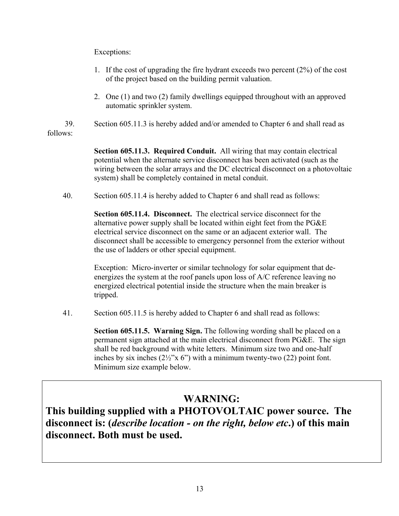# Exceptions:

- 1. If the cost of upgrading the fire hydrant exceeds two percent (2%) of the cost of the project based on the building permit valuation.
- 2. One (1) and two (2) family dwellings equipped throughout with an approved automatic sprinkler system.
- 39. Section 605.11.3 is hereby added and/or amended to Chapter 6 and shall read as follows:

**Section 605.11.3. Required Conduit.** All wiring that may contain electrical potential when the alternate service disconnect has been activated (such as the wiring between the solar arrays and the DC electrical disconnect on a photovoltaic system) shall be completely contained in metal conduit.

40. Section 605.11.4 is hereby added to Chapter 6 and shall read as follows:

**Section 605.11.4. Disconnect.** The electrical service disconnect for the alternative power supply shall be located within eight feet from the PG&E electrical service disconnect on the same or an adjacent exterior wall. The disconnect shall be accessible to emergency personnel from the exterior without the use of ladders or other special equipment.

Exception: Micro-inverter or similar technology for solar equipment that deenergizes the system at the roof panels upon loss of A/C reference leaving no energized electrical potential inside the structure when the main breaker is tripped.

41. Section 605.11.5 is hereby added to Chapter 6 and shall read as follows:

**Section 605.11.5. Warning Sign.** The following wording shall be placed on a permanent sign attached at the main electrical disconnect from PG&E. The sign shall be red background with white letters. Minimum size two and one-half inches by six inches  $(2\frac{1}{2}x^2 \cdot 6y^2)$  with a minimum twenty-two  $(22)$  point font. Minimum size example below.

# **WARNING:**

**This building supplied with a PHOTOVOLTAIC power source. The disconnect is: (***describe location - on the right, below etc***.) of this main disconnect. Both must be used.**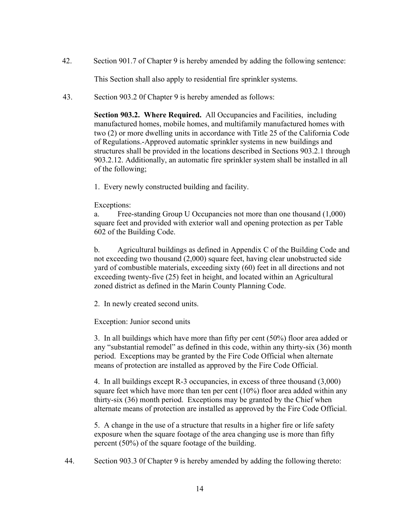42. Section 901.7 of Chapter 9 is hereby amended by adding the following sentence:

This Section shall also apply to residential fire sprinkler systems.

43. Section 903.2 0f Chapter 9 is hereby amended as follows:

**Section 903.2. Where Required.** All Occupancies and Facilities, including manufactured homes, mobile homes, and multifamily manufactured homes with two (2) or more dwelling units in accordance with Title 25 of the California Code of Regulations.-Approved automatic sprinkler systems in new buildings and structures shall be provided in the locations described in Sections 903.2.1 through 903.2.12. Additionally, an automatic fire sprinkler system shall be installed in all of the following;

1. Every newly constructed building and facility.

### Exceptions:

a. Free-standing Group U Occupancies not more than one thousand (1,000) square feet and provided with exterior wall and opening protection as per Table 602 of the Building Code.

b. Agricultural buildings as defined in Appendix C of the Building Code and not exceeding two thousand (2,000) square feet, having clear unobstructed side yard of combustible materials, exceeding sixty (60) feet in all directions and not exceeding twenty-five (25) feet in height, and located within an Agricultural zoned district as defined in the Marin County Planning Code.

2. In newly created second units.

Exception: Junior second units

3. In all buildings which have more than fifty per cent (50%) floor area added or any "substantial remodel" as defined in this code, within any thirty-six (36) month period. Exceptions may be granted by the Fire Code Official when alternate means of protection are installed as approved by the Fire Code Official.

4. In all buildings except R-3 occupancies, in excess of three thousand (3,000) square feet which have more than ten per cent (10%) floor area added within any thirty-six (36) month period. Exceptions may be granted by the Chief when alternate means of protection are installed as approved by the Fire Code Official.

5. A change in the use of a structure that results in a higher fire or life safety exposure when the square footage of the area changing use is more than fifty percent (50%) of the square footage of the building.

44. Section 903.3 0f Chapter 9 is hereby amended by adding the following thereto: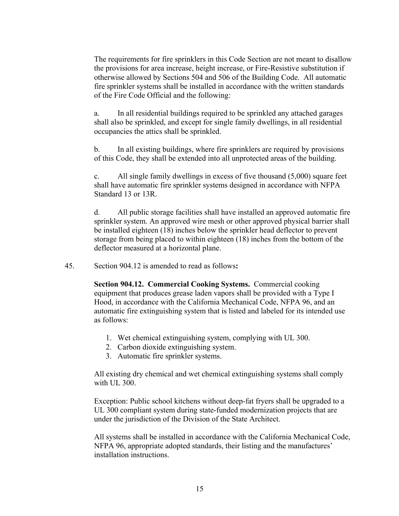The requirements for fire sprinklers in this Code Section are not meant to disallow the provisions for area increase, height increase, or Fire-Resistive substitution if otherwise allowed by Sections 504 and 506 of the Building Code. All automatic fire sprinkler systems shall be installed in accordance with the written standards of the Fire Code Official and the following:

a. In all residential buildings required to be sprinkled any attached garages shall also be sprinkled, and except for single family dwellings, in all residential occupancies the attics shall be sprinkled.

b. In all existing buildings, where fire sprinklers are required by provisions of this Code, they shall be extended into all unprotected areas of the building.

c. All single family dwellings in excess of five thousand (5,000) square feet shall have automatic fire sprinkler systems designed in accordance with NFPA Standard 13 or 13R.

 d. All public storage facilities shall have installed an approved automatic fire sprinkler system. An approved wire mesh or other approved physical barrier shall be installed eighteen (18) inches below the sprinkler head deflector to prevent storage from being placed to within eighteen (18) inches from the bottom of the deflector measured at a horizontal plane.

45. Section 904.12 is amended to read as follows**:**

**Section 904.12. Commercial Cooking Systems.** Commercial cooking equipment that produces grease laden vapors shall be provided with a Type I Hood, in accordance with the California Mechanical Code, NFPA 96, and an automatic fire extinguishing system that is listed and labeled for its intended use as follows:

- 1. Wet chemical extinguishing system, complying with UL 300.
- 2. Carbon dioxide extinguishing system.
- 3. Automatic fire sprinkler systems.

All existing dry chemical and wet chemical extinguishing systems shall comply with UL 300.

Exception: Public school kitchens without deep-fat fryers shall be upgraded to a UL 300 compliant system during state-funded modernization projects that are under the jurisdiction of the Division of the State Architect.

All systems shall be installed in accordance with the California Mechanical Code, NFPA 96, appropriate adopted standards, their listing and the manufactures' installation instructions.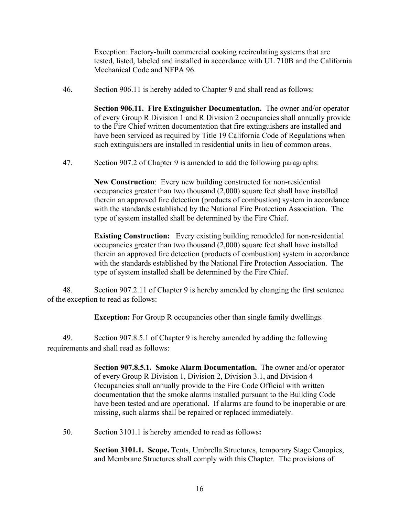Exception: Factory-built commercial cooking recirculating systems that are tested, listed, labeled and installed in accordance with UL 710B and the California Mechanical Code and NFPA 96.

46. Section 906.11 is hereby added to Chapter 9 and shall read as follows:

**Section 906.11. Fire Extinguisher Documentation.** The owner and/or operator of every Group R Division 1 and R Division 2 occupancies shall annually provide to the Fire Chief written documentation that fire extinguishers are installed and have been serviced as required by Title 19 California Code of Regulations when such extinguishers are installed in residential units in lieu of common areas.

47. Section 907.2 of Chapter 9 is amended to add the following paragraphs:

**New Construction**: Every new building constructed for non-residential occupancies greater than two thousand (2,000) square feet shall have installed therein an approved fire detection (products of combustion) system in accordance with the standards established by the National Fire Protection Association. The type of system installed shall be determined by the Fire Chief.

**Existing Construction:** Every existing building remodeled for non-residential occupancies greater than two thousand (2,000) square feet shall have installed therein an approved fire detection (products of combustion) system in accordance with the standards established by the National Fire Protection Association. The type of system installed shall be determined by the Fire Chief.

 48. Section 907.2.11 of Chapter 9 is hereby amended by changing the first sentence of the exception to read as follows:

**Exception:** For Group R occupancies other than single family dwellings.

 49. Section 907.8.5.1 of Chapter 9 is hereby amended by adding the following requirements and shall read as follows:

> **Section 907.8.5.1. Smoke Alarm Documentation.** The owner and/or operator of every Group R Division 1, Division 2, Division 3.1, and Division 4 Occupancies shall annually provide to the Fire Code Official with written documentation that the smoke alarms installed pursuant to the Building Code have been tested and are operational. If alarms are found to be inoperable or are missing, such alarms shall be repaired or replaced immediately.

50. Section 3101.1 is hereby amended to read as follows**:**

**Section 3101.1. Scope.** Tents, Umbrella Structures, temporary Stage Canopies, and Membrane Structures shall comply with this Chapter. The provisions of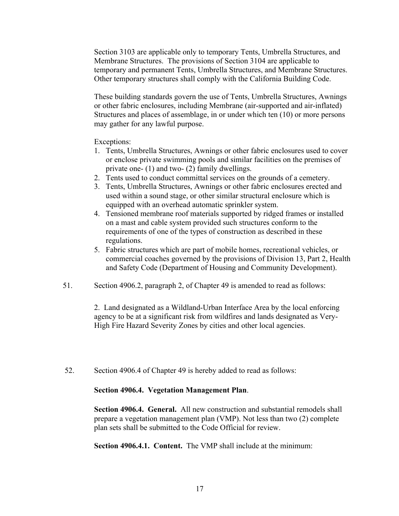Section 3103 are applicable only to temporary Tents, Umbrella Structures, and Membrane Structures. The provisions of Section 3104 are applicable to temporary and permanent Tents, Umbrella Structures, and Membrane Structures. Other temporary structures shall comply with the California Building Code.

These building standards govern the use of Tents, Umbrella Structures, Awnings or other fabric enclosures, including Membrane (air-supported and air-inflated) Structures and places of assemblage, in or under which ten (10) or more persons may gather for any lawful purpose.

Exceptions:

- 1. Tents, Umbrella Structures, Awnings or other fabric enclosures used to cover or enclose private swimming pools and similar facilities on the premises of private one- (1) and two- (2) family dwellings.
- 2. Tents used to conduct committal services on the grounds of a cemetery.
- 3. Tents, Umbrella Structures, Awnings or other fabric enclosures erected and used within a sound stage, or other similar structural enclosure which is equipped with an overhead automatic sprinkler system.
- 4. Tensioned membrane roof materials supported by ridged frames or installed on a mast and cable system provided such structures conform to the requirements of one of the types of construction as described in these regulations.
- 5. Fabric structures which are part of mobile homes, recreational vehicles, or commercial coaches governed by the provisions of Division 13, Part 2, Health and Safety Code (Department of Housing and Community Development).
- 51. Section 4906.2, paragraph 2, of Chapter 49 is amended to read as follows:

2. Land designated as a Wildland-Urban Interface Area by the local enforcing agency to be at a significant risk from wildfires and lands designated as Very-High Fire Hazard Severity Zones by cities and other local agencies.

52. Section 4906.4 of Chapter 49 is hereby added to read as follows:

#### **Section 4906.4. Vegetation Management Plan**.

**Section 4906.4. General.** All new construction and substantial remodels shall prepare a vegetation management plan (VMP). Not less than two (2) complete plan sets shall be submitted to the Code Official for review.

**Section 4906.4.1. Content.** The VMP shall include at the minimum: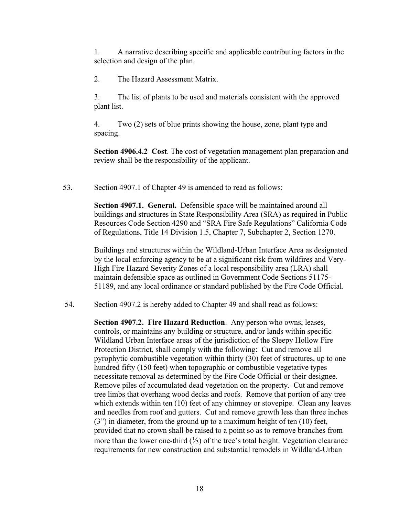1. A narrative describing specific and applicable contributing factors in the selection and design of the plan.

2. The Hazard Assessment Matrix.

3. The list of plants to be used and materials consistent with the approved plant list.

4. Two (2) sets of blue prints showing the house, zone, plant type and spacing.

**Section 4906.4.2 Cost**. The cost of vegetation management plan preparation and review shall be the responsibility of the applicant.

53. Section 4907.1 of Chapter 49 is amended to read as follows:

**Section 4907.1. General.** Defensible space will be maintained around all buildings and structures in State Responsibility Area (SRA) as required in Public Resources Code Section 4290 and "SRA Fire Safe Regulations" California Code of Regulations, Title 14 Division 1.5, Chapter 7, Subchapter 2, Section 1270.

Buildings and structures within the Wildland-Urban Interface Area as designated by the local enforcing agency to be at a significant risk from wildfires and Very-High Fire Hazard Severity Zones of a local responsibility area (LRA) shall maintain defensible space as outlined in Government Code Sections 51175- 51189, and any local ordinance or standard published by the Fire Code Official.

54. Section 4907.2 is hereby added to Chapter 49 and shall read as follows:

**Section 4907.2. Fire Hazard Reduction**. Any person who owns, leases, controls, or maintains any building or structure, and/or lands within specific Wildland Urban Interface areas of the jurisdiction of the Sleepy Hollow Fire Protection District, shall comply with the following: Cut and remove all pyrophytic combustible vegetation within thirty (30) feet of structures, up to one hundred fifty (150 feet) when topographic or combustible vegetative types necessitate removal as determined by the Fire Code Official or their designee. Remove piles of accumulated dead vegetation on the property. Cut and remove tree limbs that overhang wood decks and roofs. Remove that portion of any tree which extends within ten (10) feet of any chimney or stovepipe. Clean any leaves and needles from roof and gutters. Cut and remove growth less than three inches (3") in diameter, from the ground up to a maximum height of ten (10) feet, provided that no crown shall be raised to a point so as to remove branches from more than the lower one-third (⅓) of the tree's total height. Vegetation clearance requirements for new construction and substantial remodels in Wildland-Urban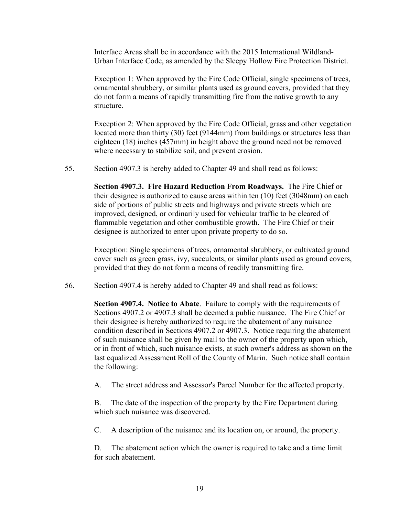Interface Areas shall be in accordance with the 2015 International Wildland-Urban Interface Code, as amended by the Sleepy Hollow Fire Protection District.

Exception 1: When approved by the Fire Code Official, single specimens of trees, ornamental shrubbery, or similar plants used as ground covers, provided that they do not form a means of rapidly transmitting fire from the native growth to any structure.

Exception 2: When approved by the Fire Code Official, grass and other vegetation located more than thirty (30) feet (9144mm) from buildings or structures less than eighteen (18) inches (457mm) in height above the ground need not be removed where necessary to stabilize soil, and prevent erosion.

55. Section 4907.3 is hereby added to Chapter 49 and shall read as follows:

**Section 4907.3. Fire Hazard Reduction From Roadways.** The Fire Chief or their designee is authorized to cause areas within ten (10) feet (3048mm) on each side of portions of public streets and highways and private streets which are improved, designed, or ordinarily used for vehicular traffic to be cleared of flammable vegetation and other combustible growth. The Fire Chief or their designee is authorized to enter upon private property to do so.

Exception: Single specimens of trees, ornamental shrubbery, or cultivated ground cover such as green grass, ivy, succulents, or similar plants used as ground covers, provided that they do not form a means of readily transmitting fire.

56. Section 4907.4 is hereby added to Chapter 49 and shall read as follows:

**Section 4907.4. Notice to Abate**. Failure to comply with the requirements of Sections 4907.2 or 4907.3 shall be deemed a public nuisance. The Fire Chief or their designee is hereby authorized to require the abatement of any nuisance condition described in Sections 4907.2 or 4907.3. Notice requiring the abatement of such nuisance shall be given by mail to the owner of the property upon which, or in front of which, such nuisance exists, at such owner's address as shown on the last equalized Assessment Roll of the County of Marin. Such notice shall contain the following:

A. The street address and Assessor's Parcel Number for the affected property.

B. The date of the inspection of the property by the Fire Department during which such nuisance was discovered.

C. A description of the nuisance and its location on, or around, the property.

D. The abatement action which the owner is required to take and a time limit for such abatement.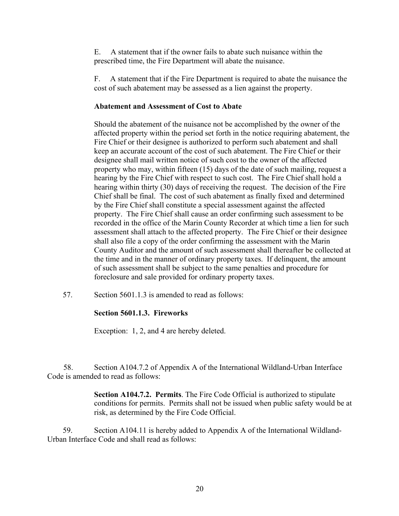E. A statement that if the owner fails to abate such nuisance within the prescribed time, the Fire Department will abate the nuisance.

F. A statement that if the Fire Department is required to abate the nuisance the cost of such abatement may be assessed as a lien against the property.

### **Abatement and Assessment of Cost to Abate**

Should the abatement of the nuisance not be accomplished by the owner of the affected property within the period set forth in the notice requiring abatement, the Fire Chief or their designee is authorized to perform such abatement and shall keep an accurate account of the cost of such abatement. The Fire Chief or their designee shall mail written notice of such cost to the owner of the affected property who may, within fifteen (15) days of the date of such mailing, request a hearing by the Fire Chief with respect to such cost. The Fire Chief shall hold a hearing within thirty (30) days of receiving the request. The decision of the Fire Chief shall be final. The cost of such abatement as finally fixed and determined by the Fire Chief shall constitute a special assessment against the affected property. The Fire Chief shall cause an order confirming such assessment to be recorded in the office of the Marin County Recorder at which time a lien for such assessment shall attach to the affected property. The Fire Chief or their designee shall also file a copy of the order confirming the assessment with the Marin County Auditor and the amount of such assessment shall thereafter be collected at the time and in the manner of ordinary property taxes. If delinquent, the amount of such assessment shall be subject to the same penalties and procedure for foreclosure and sale provided for ordinary property taxes.

57. Section 5601.1.3 is amended to read as follows:

# **Section 5601.1.3. Fireworks**

Exception: 1, 2, and 4 are hereby deleted.

 58. Section A104.7.2 of Appendix A of the International Wildland-Urban Interface Code is amended to read as follows:

> **Section A104.7.2. Permits**. The Fire Code Official is authorized to stipulate conditions for permits. Permits shall not be issued when public safety would be at risk, as determined by the Fire Code Official.

 59. Section A104.11 is hereby added to Appendix A of the International Wildland-Urban Interface Code and shall read as follows: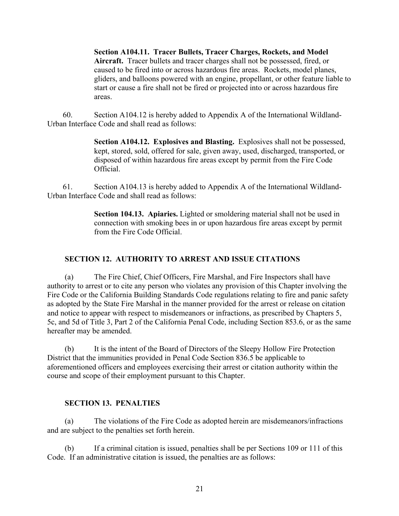**Section A104.11. Tracer Bullets, Tracer Charges, Rockets, and Model Aircraft.** Tracer bullets and tracer charges shall not be possessed, fired, or caused to be fired into or across hazardous fire areas. Rockets, model planes, gliders, and balloons powered with an engine, propellant, or other feature liable to start or cause a fire shall not be fired or projected into or across hazardous fire areas.

 60. Section A104.12 is hereby added to Appendix A of the International Wildland-Urban Interface Code and shall read as follows:

> **Section A104.12. Explosives and Blasting.** Explosives shall not be possessed, kept, stored, sold, offered for sale, given away, used, discharged, transported, or disposed of within hazardous fire areas except by permit from the Fire Code Official.

 61. Section A104.13 is hereby added to Appendix A of the International Wildland-Urban Interface Code and shall read as follows:

> **Section 104.13. Apiaries.** Lighted or smoldering material shall not be used in connection with smoking bees in or upon hazardous fire areas except by permit from the Fire Code Official.

# **SECTION 12. AUTHORITY TO ARREST AND ISSUE CITATIONS**

 (a) The Fire Chief, Chief Officers, Fire Marshal, and Fire Inspectors shall have authority to arrest or to cite any person who violates any provision of this Chapter involving the Fire Code or the California Building Standards Code regulations relating to fire and panic safety as adopted by the State Fire Marshal in the manner provided for the arrest or release on citation and notice to appear with respect to misdemeanors or infractions, as prescribed by Chapters 5, 5c, and 5d of Title 3, Part 2 of the California Penal Code, including Section 853.6, or as the same hereafter may be amended.

 (b) It is the intent of the Board of Directors of the Sleepy Hollow Fire Protection District that the immunities provided in Penal Code Section 836.5 be applicable to aforementioned officers and employees exercising their arrest or citation authority within the course and scope of their employment pursuant to this Chapter.

# **SECTION 13. PENALTIES**

 (a) The violations of the Fire Code as adopted herein are misdemeanors/infractions and are subject to the penalties set forth herein.

 (b) If a criminal citation is issued, penalties shall be per Sections 109 or 111 of this Code. If an administrative citation is issued, the penalties are as follows: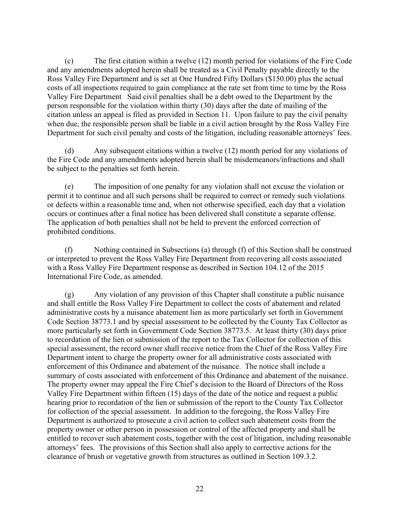(c) The first citation within a twelve (12) month period for violations of the Fire Code and any amendments adopted herein shall be treated as a Civil Penalty payable directly to the Ross Valley Fire Department and is set at One Hundred Fifty Dollars (\$150.00) plus the actual costs of all inspections required to gain compliance at the rate set from time to time by the Ross Valley Fire Department Said civil penalties shall be a debt owed to the Department by the person responsible for the violation within thirty (30) days after the date of mailing of the citation unless an appeal is filed as provided in Section 11. Upon failure to pay the civil penalty when due, the responsible person shall be liable in a civil action brought by the Ross Valley Fire Department for such civil penalty and costs of the litigation, including reasonable attorneys' fees.

 (d) Any subsequent citations within a twelve (12) month period for any violations of the Fire Code and any amendments adopted herein shall be misdemeanors/infractions and shall be subject to the penalties set forth herein.

 (e) The imposition of one penalty for any violation shall not excuse the violation or permit it to continue and all such persons shall be required to correct or remedy such violations or defects within a reasonable time and, when not otherwise specified, each day that a violation occurs or continues after a final notice has been delivered shall constitute a separate offense. The application of both penalties shall not be held to prevent the enforced correction of prohibited conditions.

 (f) Nothing contained in Subsections (a) through (f) of this Section shall be construed or interpreted to prevent the Ross Valley Fire Department from recovering all costs associated with a Ross Valley Fire Department response as described in Section 104.12 of the 2015 International Fire Code, as amended.

 (g) Any violation of any provision of this Chapter shall constitute a public nuisance and shall entitle the Ross Valley Fire Department to collect the costs of abatement and related administrative costs by a nuisance abatement lien as more particularly set forth in Government Code Section 38773.1 and by special assessment to be collected by the County Tax Collector as more particularly set forth in Government Code Section 38773.5. At least thirty (30) days prior to recordation of the lien or submission of the report to the Tax Collector for collection of this special assessment, the record owner shall receive notice from the Chief of the Ross Valley Fire Department intent to charge the property owner for all administrative costs associated with enforcement of this Ordinance and abatement of the nuisance. The notice shall include a summary of costs associated with enforcement of this Ordinance and abatement of the nuisance. The property owner may appeal the Fire Chief's decision to the Board of Directors of the Ross Valley Fire Department within fifteen (15) days of the date of the notice and request a public hearing prior to recordation of the lien or submission of the report to the County Tax Collector for collection of the special assessment. In addition to the foregoing, the Ross Valley Fire Department is authorized to prosecute a civil action to collect such abatement costs from the property owner or other person in possession or control of the affected property and shall be entitled to recover such abatement costs, together with the cost of litigation, including reasonable attorneys' fees. The provisions of this Section shall also apply to corrective actions for the clearance of brush or vegetative growth from structures as outlined in Section 109.3.2.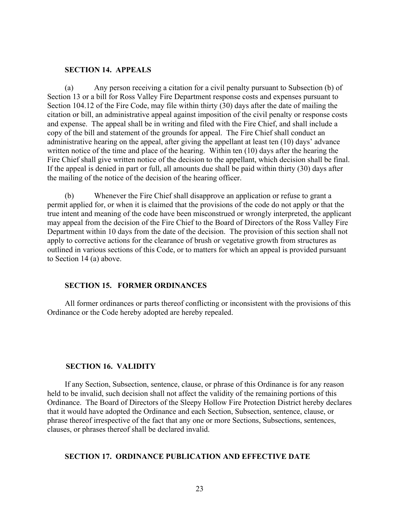#### **SECTION 14. APPEALS**

 (a) Any person receiving a citation for a civil penalty pursuant to Subsection (b) of Section 13 or a bill for Ross Valley Fire Department response costs and expenses pursuant to Section 104.12 of the Fire Code, may file within thirty (30) days after the date of mailing the citation or bill, an administrative appeal against imposition of the civil penalty or response costs and expense. The appeal shall be in writing and filed with the Fire Chief, and shall include a copy of the bill and statement of the grounds for appeal. The Fire Chief shall conduct an administrative hearing on the appeal, after giving the appellant at least ten (10) days' advance written notice of the time and place of the hearing. Within ten (10) days after the hearing the Fire Chief shall give written notice of the decision to the appellant, which decision shall be final. If the appeal is denied in part or full, all amounts due shall be paid within thirty (30) days after the mailing of the notice of the decision of the hearing officer.

 (b) Whenever the Fire Chief shall disapprove an application or refuse to grant a permit applied for, or when it is claimed that the provisions of the code do not apply or that the true intent and meaning of the code have been misconstrued or wrongly interpreted, the applicant may appeal from the decision of the Fire Chief to the Board of Directors of the Ross Valley Fire Department within 10 days from the date of the decision. The provision of this section shall not apply to corrective actions for the clearance of brush or vegetative growth from structures as outlined in various sections of this Code, or to matters for which an appeal is provided pursuant to Section 14 (a) above.

#### **SECTION 15. FORMER ORDINANCES**

 All former ordinances or parts thereof conflicting or inconsistent with the provisions of this Ordinance or the Code hereby adopted are hereby repealed.

#### **SECTION 16. VALIDITY**

 If any Section, Subsection, sentence, clause, or phrase of this Ordinance is for any reason held to be invalid, such decision shall not affect the validity of the remaining portions of this Ordinance. The Board of Directors of the Sleepy Hollow Fire Protection District hereby declares that it would have adopted the Ordinance and each Section, Subsection, sentence, clause, or phrase thereof irrespective of the fact that any one or more Sections, Subsections, sentences, clauses, or phrases thereof shall be declared invalid.

#### **SECTION 17. ORDINANCE PUBLICATION AND EFFECTIVE DATE**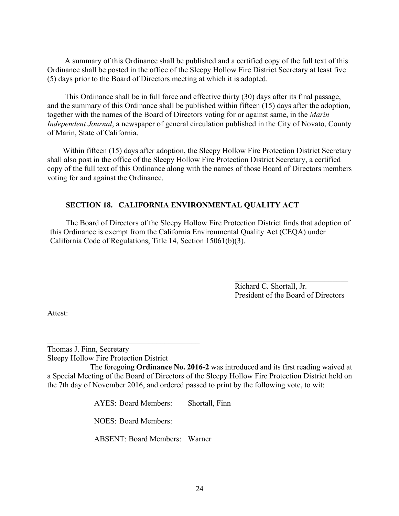A summary of this Ordinance shall be published and a certified copy of the full text of this Ordinance shall be posted in the office of the Sleepy Hollow Fire District Secretary at least five (5) days prior to the Board of Directors meeting at which it is adopted.

 This Ordinance shall be in full force and effective thirty (30) days after its final passage, and the summary of this Ordinance shall be published within fifteen (15) days after the adoption, together with the names of the Board of Directors voting for or against same, in the *Marin Independent Journal*, a newspaper of general circulation published in the City of Novato, County of Marin, State of California.

 Within fifteen (15) days after adoption, the Sleepy Hollow Fire Protection District Secretary shall also post in the office of the Sleepy Hollow Fire Protection District Secretary, a certified copy of the full text of this Ordinance along with the names of those Board of Directors members voting for and against the Ordinance.

### **SECTION 18. CALIFORNIA ENVIRONMENTAL QUALITY ACT**

 The Board of Directors of the Sleepy Hollow Fire Protection District finds that adoption of this Ordinance is exempt from the California Environmental Quality Act (CEQA) under California Code of Regulations, Title 14, Section 15061(b)(3).

> Richard C. Shortall, Jr. President of the Board of Directors

 $\mathcal{L}_\text{max}$  , where  $\mathcal{L}_\text{max}$  and  $\mathcal{L}_\text{max}$ 

Attest:

Thomas J. Finn, Secretary Sleepy Hollow Fire Protection District

 The foregoing **Ordinance No. 2016-2** was introduced and its first reading waived at a Special Meeting of the Board of Directors of the Sleepy Hollow Fire Protection District held on the 7th day of November 2016, and ordered passed to print by the following vote, to wit:

AYES: Board Members: Shortall, Finn

NOES: Board Members:

ABSENT: Board Members: Warner